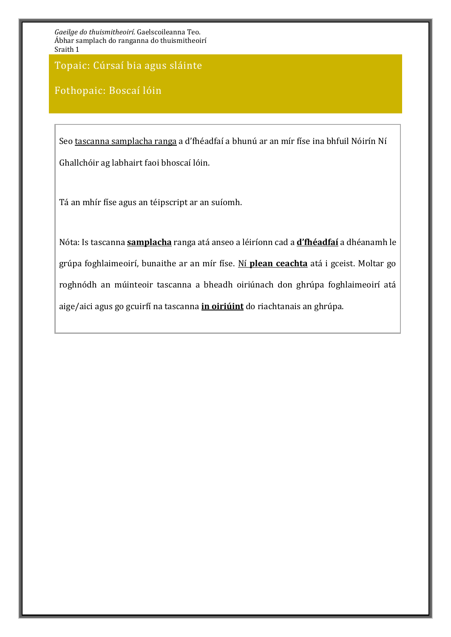Topaic: Cúrsaí bia agus sláinte

### Fothopaic: Boscaí lóin

Seo tascanna samplacha ranga a d'fhéadfaí a bhunú ar an mír físe ina bhfuil Nóirín Ní Ghallchóir ag labhairt faoi bhoscaí lóin.

Tá an mhír físe agus an téipscript ar an suíomh.

Nóta: Is tascanna **samplacha** ranga atá anseo a léiríonn cad a **d'fhéadfaí** a dhéanamh le grúpa foghlaimeoirí, bunaithe ar an mír físe. Ní **plean ceachta** atá i gceist. Moltar go roghnódh an múinteoir tascanna a bheadh oiriúnach don ghrúpa foghlaimeoirí atá aige/aici agus go gcuirfí na tascanna **in oiriúint** do riachtanais an ghrúpa.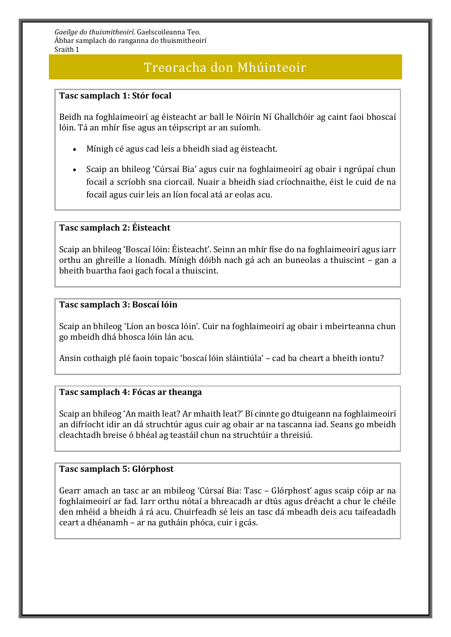### Treoracha don Mhúinteoir

#### **Tasc samplach 1: Stór focal**

Beidh na foghlaimeoirí ag éisteacht ar ball le Nóirín Ní Ghallchóir ag caint faoi bhoscaí lóin. Tá an mhír físe agus an téipscript ar an suíomh.

- Mínigh cé agus cad leis a bheidh siad ag éisteacht.
- Scaip an bhileog 'Cúrsaí Bia' agus cuir na foghlaimeoirí ag obair i ngrúpaí chun focail a scríobh sna ciorcail. Nuair a bheidh siad críochnaithe, éist le cuid de na focail agus cuir leis an líon focal atá ar eolas acu.

#### **Tasc samplach 2: Éisteacht**

Scaip an bhileog 'Boscaí lóin: Éisteacht'. Seinn an mhír físe do na foghlaimeoirí agus iarr orthu an ghreille a líonadh. Mínigh dóibh nach gá ach an buneolas a thuiscint – gan a bheith buartha faoi gach focal a thuiscint.

#### **Tasc samplach 3: Boscaí lóin**

Scaip an bhileog 'Líon an bosca lóin'. Cuir na foghlaimeoirí ag obair i mbeirteanna chun go mbeidh dhá bhosca lóin lán acu.

Ansin cothaigh plé faoin topaic 'boscaí lóin sláintiúla' – cad ba cheart a bheith iontu?

#### **Tasc samplach 4: Fócas ar theanga**

Scaip an bhileog 'An maith leat? Ar mhaith leat?' Bí cinnte go dtuigeann na foghlaimeoirí an difríocht idir an dá struchtúr agus cuir ag obair ar na tascanna iad. Seans go mbeidh cleachtadh breise ó bhéal ag teastáil chun na struchtúir a threisiú.

#### **Tasc samplach 5: Glórphost**

Gearr amach an tasc ar an mbileog 'Cúrsaí Bia: Tasc – Glórphost' agus scaip cóip ar na foghlaimeoirí ar fad. Iarr orthu nótaí a bhreacadh ar dtús agus dréacht a chur le chéile den mhéid a bheidh á rá acu. Chuirfeadh sé leis an tasc dá mbeadh deis acu taifeadadh ceart a dhéanamh – ar na gutháin phóca, cuir i gcás.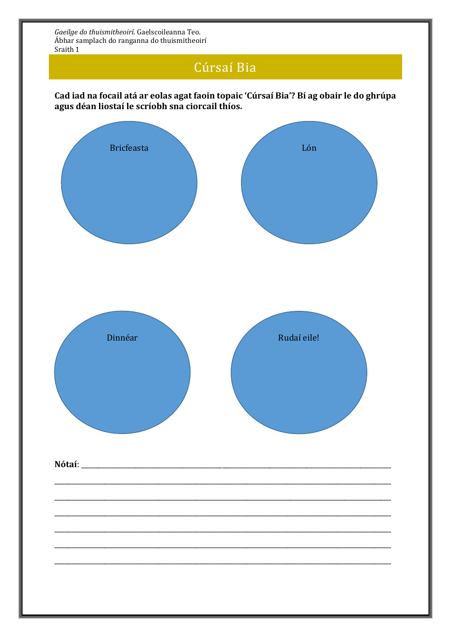# Cúrsaí Bia

Cad iad na focail atá ar eolas agat faoin topaic 'Cúrsaí Bia'? Bí ag obair le do ghrúpa agus déan liostaí le scríobh sna ciorcail thíos.

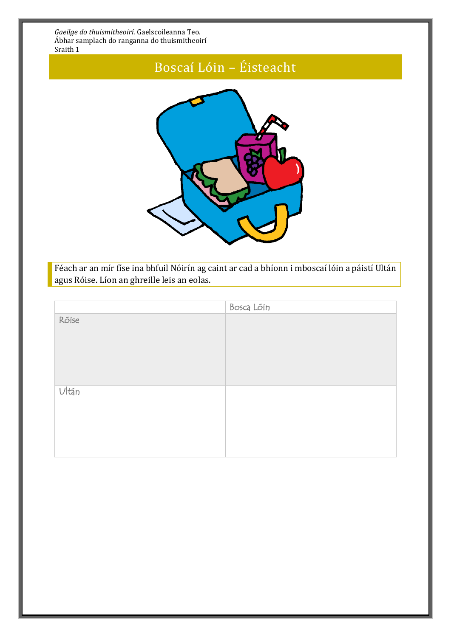# Boscaí Lóin – Éisteacht



Féach ar an mír físe ina bhfuil Nóirín ag caint ar cad a bhíonn i mboscaí lóin a páistí Ultán agus Róise. Líon an ghreille leis an eolas.

|          | Bosca Lóin |
|----------|------------|
| Róise    |            |
| $U$ Itán |            |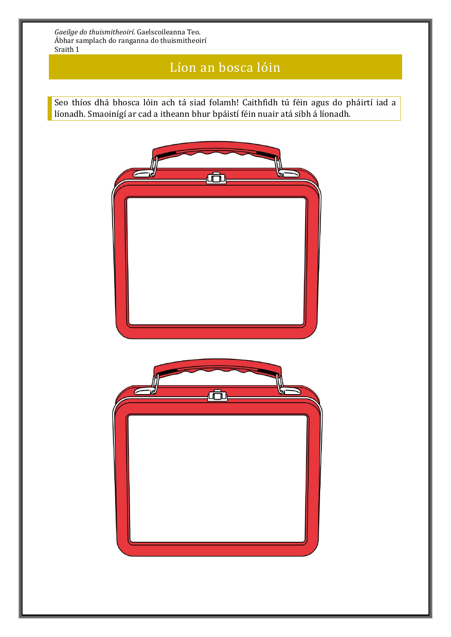## Líon an bosca lóin

Seo thíos dhá bhosca lóin ach tá siad folamh! Caithfidh tú féin agus do pháirtí iad a líonadh. Smaoinígí ar cad a itheann bhur bpáistí féin nuair atá sibh á líonadh.

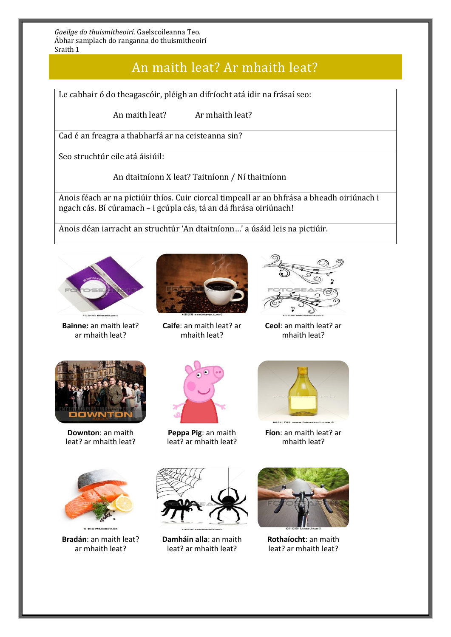### An maith leat? Ar mhaith leat?

Le cabhair ó do theagascóir, pléigh an difríocht atá idir na frásaí seo:

An maith leat? Ar mhaith leat?

Cad é an freagra a thabharfá ar na ceisteanna sin?

Seo struchtúr eile atá áisiúil:

An dtaitníonn X leat? Taitníonn / Ní thaitníonn

Anois féach ar na pictiúir thíos. Cuir ciorcal timpeall ar an bhfrása a bheadh oiriúnach i ngach cás. Bí cúramach – i gcúpla cás, tá an dá fhrása oiriúnach!

Anois déan iarracht an struchtúr 'An dtaitníonn…' a úsáid leis na pictiúir.



**Bainne:** an maith leat? ar mhaith leat?



**Caife**: an maith leat? ar mhaith leat?



**Ceol**: an maith leat? ar mhaith leat?



**Downton**: an maith leat? ar mhaith leat?



**Peppa Pig**: an maith leat? ar mhaith leat?



**Fíon**: an maith leat? ar mhaith leat?



**Bradán**: an maith leat? ar mhaith leat?



**Damháin alla**: an maith leat? ar mhaith leat?



**Rothaíocht**: an maith leat? ar mhaith leat?